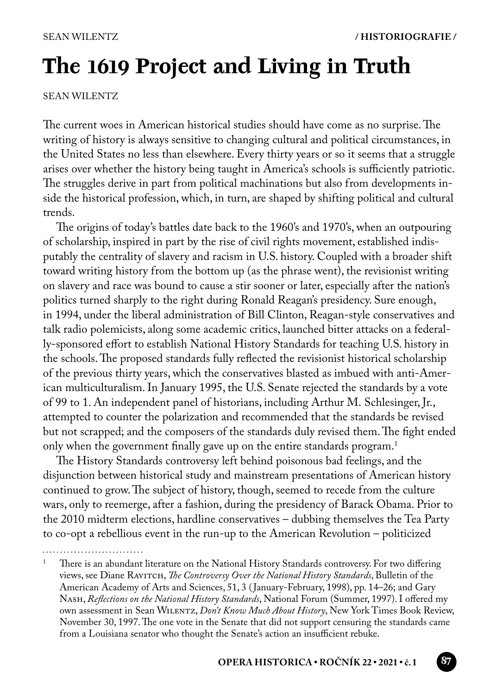# **The 1619 Project and Living in Truth**

SEAN WILENTZ

The current woes in American historical studies should have come as no surprise. The writing of history is always sensitive to changing cultural and political circumstances, in the United States no less than elsewhere. Every thirty years or so it seems that a struggle arises over whether the history being taught in America's schools is sufficiently patriotic. The struggles derive in part from political machinations but also from developments inside the historical profession, which, in turn, are shaped by shifting political and cultural trends.

The origins of today's battles date back to the 1960's and 1970's, when an outpouring of scholarship, inspired in part by the rise of civil rights movement, established indisputably the centrality of slavery and racism in U.S. history. Coupled with a broader shift toward writing history from the bottom up (as the phrase went), the revisionist writing on slavery and race was bound to cause a stir sooner or later, especially after the nation's politics turned sharply to the right during Ronald Reagan's presidency. Sure enough, in 1994, under the liberal administration of Bill Clinton, Reagan-style conservatives and talk radio polemicists, along some academic critics, launched bitter attacks on a federally-sponsored effort to establish National History Standards for teaching U.S. history in the schools. The proposed standards fully reflected the revisionist historical scholarship of the previous thirty years, which the conservatives blasted as imbued with anti-American multiculturalism. In January 1995, the U.S. Senate rejected the standards by a vote of 99 to 1. An independent panel of historians, including Arthur M. Schlesinger, Jr., attempted to counter the polarization and recommended that the standards be revised but not scrapped; and the composers of the standards duly revised them. The fight ended only when the government finally gave up on the entire standards program.<sup>1</sup>

The History Standards controversy left behind poisonous bad feelings, and the disjunction between historical study and mainstream presentations of American history continued to grow. The subject of history, though, seemed to recede from the culture wars, only to reemerge, after a fashion, during the presidency of Barack Obama. Prior to the 2010 midterm elections, hardline conservatives – dubbing themselves the Tea Party to co-opt a rebellious event in the run-up to the American Revolution – politicized

<sup>1</sup> There is an abundant literature on the National History Standards controversy. For two differing views, see Diane Ravitch, *The Controversy Over the National History Standards*, Bulletin of the American Academy of Arts and Sciences, 51, 3 ( January-February, 1998), pp. 14–26; and Gary Nash, *Reflections on the National History Standards*, National Forum (Summer, 1997). I offered my own assessment in Sean Wilentz, *Don't Know Much About History*, New York Times Book Review, November 30, 1997. The one vote in the Senate that did not support censuring the standards came from a Louisiana senator who thought the Senate's action an insufficient rebuke.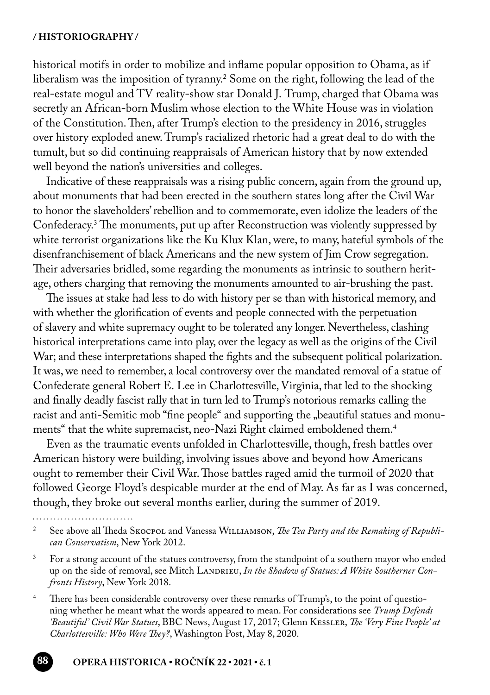#### **/ HISTORIOGRAPHY /**

historical motifs in order to mobilize and inflame popular opposition to Obama, as if liberalism was the imposition of tyranny.2 Some on the right, following the lead of the real-estate mogul and TV reality-show star Donald J. Trump, charged that Obama was secretly an African-born Muslim whose election to the White House was in violation of the Constitution. Then, after Trump's election to the presidency in 2016, struggles over history exploded anew. Trump's racialized rhetoric had a great deal to do with the tumult, but so did continuing reappraisals of American history that by now extended well beyond the nation's universities and colleges.

Indicative of these reappraisals was a rising public concern, again from the ground up, about monuments that had been erected in the southern states long after the Civil War to honor the slaveholders' rebellion and to commemorate, even idolize the leaders of the Confederacy.3 The monuments, put up after Reconstruction was violently suppressed by white terrorist organizations like the Ku Klux Klan, were, to many, hateful symbols of the disenfranchisement of black Americans and the new system of Jim Crow segregation. Their adversaries bridled, some regarding the monuments as intrinsic to southern heritage, others charging that removing the monuments amounted to air-brushing the past.

The issues at stake had less to do with history per se than with historical memory, and with whether the glorification of events and people connected with the perpetuation of slavery and white supremacy ought to be tolerated any longer. Nevertheless, clashing historical interpretations came into play, over the legacy as well as the origins of the Civil War; and these interpretations shaped the fights and the subsequent political polarization. It was, we need to remember, a local controversy over the mandated removal of a statue of Confederate general Robert E. Lee in Charlottesville, Virginia, that led to the shocking and finally deadly fascist rally that in turn led to Trump's notorious remarks calling the racist and anti-Semitic mob "fine people" and supporting the "beautiful statues and monuments" that the white supremacist, neo-Nazi Right claimed emboldened them.4

Even as the traumatic events unfolded in Charlottesville, though, fresh battles over American history were building, involving issues above and beyond how Americans ought to remember their Civil War. Those battles raged amid the turmoil of 2020 that followed George Floyd's despicable murder at the end of May. As far as I was concerned, though, they broke out several months earlier, during the summer of 2019.

See above all Theda Skocpol and Vanessa Williamson, *The Tea Party and the Remaking of Republican Conservatism*, New York 2012.

<sup>&</sup>lt;sup>3</sup> For a strong account of the statues controversy, from the standpoint of a southern mayor who ended up on the side of removal, see Mitch LANDRIEU, In the Shadow of Statues: A White Southerner Con*fronts History*, New York 2018.

<sup>&</sup>lt;sup>4</sup> There has been considerable controversy over these remarks of Trump's, to the point of questioning whether he meant what the words appeared to mean. For considerations see *Trump Defends 'Beautiful' Civil War Statues*, BBC News, August 17, 2017; Glenn Kessler, *The 'Very Fine People' at Charlottesville: Who Were They?*, Washington Post, May 8, 2020.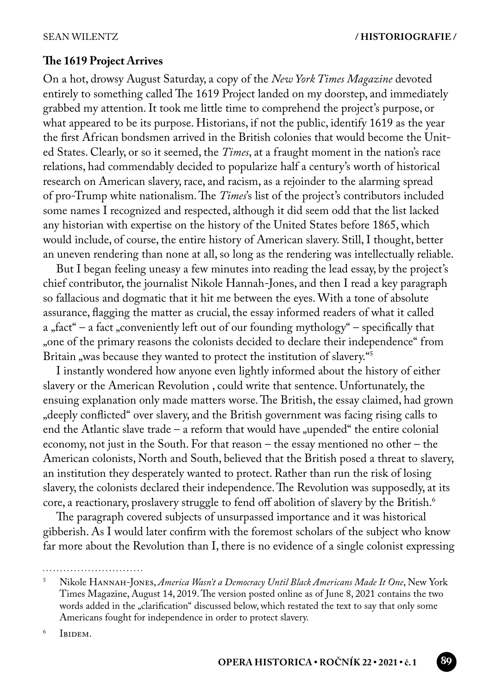### **The 1619 Project Arrives**

On a hot, drowsy August Saturday, a copy of the *New York Times Magazine* devoted entirely to something called The 1619 Project landed on my doorstep, and immediately grabbed my attention. It took me little time to comprehend the project's purpose, or what appeared to be its purpose. Historians, if not the public, identify 1619 as the year the first African bondsmen arrived in the British colonies that would become the United States. Clearly, or so it seemed, the *Times*, at a fraught moment in the nation's race relations, had commendably decided to popularize half a century's worth of historical research on American slavery, race, and racism, as a rejoinder to the alarming spread of pro-Trump white nationalism. The *Times*'s list of the project's contributors included some names I recognized and respected, although it did seem odd that the list lacked any historian with expertise on the history of the United States before 1865, which would include, of course, the entire history of American slavery. Still, I thought, better an uneven rendering than none at all, so long as the rendering was intellectually reliable.

But I began feeling uneasy a few minutes into reading the lead essay, by the project's chief contributor, the journalist Nikole Hannah-Jones, and then I read a key paragraph so fallacious and dogmatic that it hit me between the eyes. With a tone of absolute assurance, flagging the matter as crucial, the essay informed readers of what it called a "fact" – a fact "conveniently left out of our founding mythology" – specifically that "one of the primary reasons the colonists decided to declare their independence" from Britain "was because they wanted to protect the institution of slavery."<sup>5</sup>

I instantly wondered how anyone even lightly informed about the history of either slavery or the American Revolution , could write that sentence. Unfortunately, the ensuing explanation only made matters worse. The British, the essay claimed, had grown "deeply conflicted" over slavery, and the British government was facing rising calls to end the Atlantic slave trade – a reform that would have "upended" the entire colonial economy, not just in the South. For that reason – the essay mentioned no other – the American colonists, North and South, believed that the British posed a threat to slavery, an institution they desperately wanted to protect. Rather than run the risk of losing slavery, the colonists declared their independence. The Revolution was supposedly, at its core, a reactionary, proslavery struggle to fend off abolition of slavery by the British.<sup>6</sup>

The paragraph covered subjects of unsurpassed importance and it was historical gibberish. As I would later confirm with the foremost scholars of the subject who know far more about the Revolution than I, there is no evidence of a single colonist expressing

<sup>5</sup> Nikole Hannah-Jones, *America Wasn't a Democracy Until Black Americans Made It One*, New York Times Magazine, August 14, 2019. The version posted online as of June 8, 2021 contains the two words added in the "clarification" discussed below, which restated the text to say that only some Americans fought for independence in order to protect slavery.

<sup>6</sup> IBIDEM.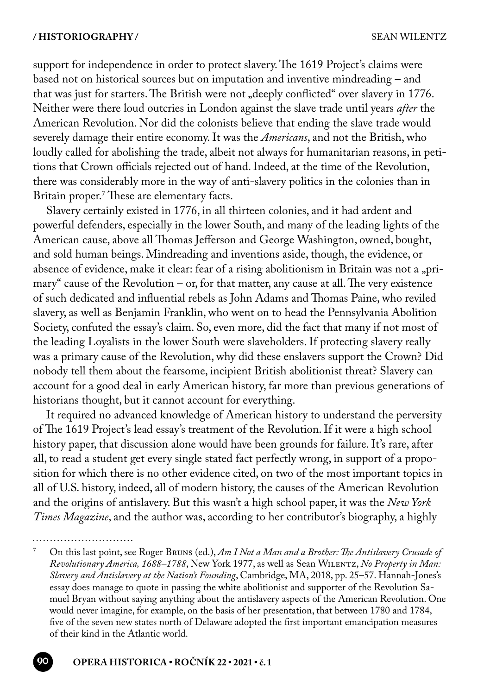support for independence in order to protect slavery. The 1619 Project's claims were based not on historical sources but on imputation and inventive mindreading – and that was just for starters. The British were not "deeply conflicted" over slavery in 1776. Neither were there loud outcries in London against the slave trade until years *after* the American Revolution. Nor did the colonists believe that ending the slave trade would severely damage their entire economy. It was the *Americans*, and not the British, who loudly called for abolishing the trade, albeit not always for humanitarian reasons, in petitions that Crown officials rejected out of hand. Indeed, at the time of the Revolution, there was considerably more in the way of anti-slavery politics in the colonies than in Britain proper.<sup>7</sup>These are elementary facts.

Slavery certainly existed in 1776, in all thirteen colonies, and it had ardent and powerful defenders, especially in the lower South, and many of the leading lights of the American cause, above all Thomas Jefferson and George Washington, owned, bought, and sold human beings. Mindreading and inventions aside, though, the evidence, or absence of evidence, make it clear: fear of a rising abolitionism in Britain was not a "primary" cause of the Revolution – or, for that matter, any cause at all. The very existence of such dedicated and influential rebels as John Adams and Thomas Paine, who reviled slavery, as well as Benjamin Franklin, who went on to head the Pennsylvania Abolition Society, confuted the essay's claim. So, even more, did the fact that many if not most of the leading Loyalists in the lower South were slaveholders. If protecting slavery really was a primary cause of the Revolution, why did these enslavers support the Crown? Did nobody tell them about the fearsome, incipient British abolitionist threat? Slavery can account for a good deal in early American history, far more than previous generations of historians thought, but it cannot account for everything.

It required no advanced knowledge of American history to understand the perversity of The 1619 Project's lead essay's treatment of the Revolution. If it were a high school history paper, that discussion alone would have been grounds for failure. It's rare, after all, to read a student get every single stated fact perfectly wrong, in support of a proposition for which there is no other evidence cited, on two of the most important topics in all of U.S. history, indeed, all of modern history, the causes of the American Revolution and the origins of antislavery. But this wasn't a high school paper, it was the *New York Times Magazine*, and the author was, according to her contributor's biography, a highly

<sup>7</sup> On this last point, see Roger Bruns (ed.), *Am I Not a Man and a Brother: The Antislavery Crusade of Revolutionary America, 1688–1788*, New York 1977, as well as Sean Wilentz, *No Property in Man: Slavery and Antislavery at the Nation's Founding*, Cambridge, MA, 2018, pp. 25–57. Hannah-Jones's essay does manage to quote in passing the white abolitionist and supporter of the Revolution Samuel Bryan without saying anything about the antislavery aspects of the American Revolution. One would never imagine, for example, on the basis of her presentation, that between 1780 and 1784, five of the seven new states north of Delaware adopted the first important emancipation measures of their kind in the Atlantic world.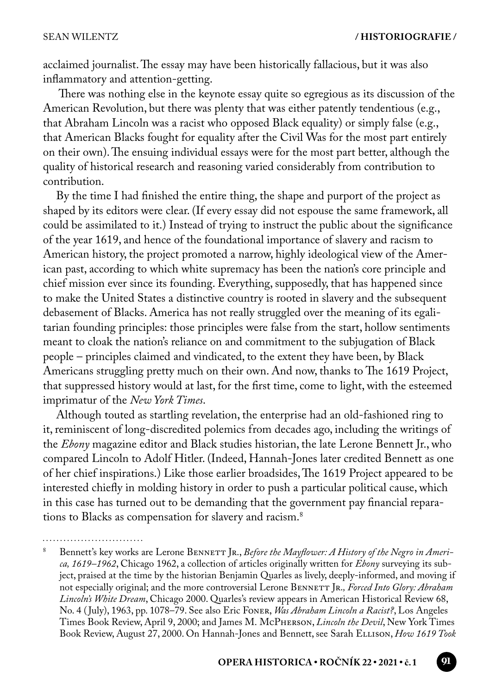acclaimed journalist. The essay may have been historically fallacious, but it was also inflammatory and attention-getting.

 There was nothing else in the keynote essay quite so egregious as its discussion of the American Revolution, but there was plenty that was either patently tendentious (e.g., that Abraham Lincoln was a racist who opposed Black equality) or simply false (e.g., that American Blacks fought for equality after the Civil Was for the most part entirely on their own). The ensuing individual essays were for the most part better, although the quality of historical research and reasoning varied considerably from contribution to contribution.

By the time I had finished the entire thing, the shape and purport of the project as shaped by its editors were clear. (If every essay did not espouse the same framework, all could be assimilated to it.) Instead of trying to instruct the public about the significance of the year 1619, and hence of the foundational importance of slavery and racism to American history, the project promoted a narrow, highly ideological view of the American past, according to which white supremacy has been the nation's core principle and chief mission ever since its founding. Everything, supposedly, that has happened since to make the United States a distinctive country is rooted in slavery and the subsequent debasement of Blacks. America has not really struggled over the meaning of its egalitarian founding principles: those principles were false from the start, hollow sentiments meant to cloak the nation's reliance on and commitment to the subjugation of Black people – principles claimed and vindicated, to the extent they have been, by Black Americans struggling pretty much on their own. And now, thanks to The 1619 Project, that suppressed history would at last, for the first time, come to light, with the esteemed imprimatur of the *New York Times*.

Although touted as startling revelation, the enterprise had an old-fashioned ring to it, reminiscent of long-discredited polemics from decades ago, including the writings of the *Ebony* magazine editor and Black studies historian, the late Lerone Bennett Jr., who compared Lincoln to Adolf Hitler. (Indeed, Hannah-Jones later credited Bennett as one of her chief inspirations.) Like those earlier broadsides, The 1619 Project appeared to be interested chiefly in molding history in order to push a particular political cause, which in this case has turned out to be demanding that the government pay financial reparations to Blacks as compensation for slavery and racism.8

Bennett's key works are Lerone BENNETT JR., *Before the Mayflower: A History of the Negro in America, 1619–1962*, Chicago 1962, a collection of articles originally written for *Ebony* surveying its subject, praised at the time by the historian Benjamin Quarles as lively, deeply-informed, and moving if not especially original; and the more controversial Lerone BENNETT JR., Forced Into Glory: Abraham *Lincoln's White Dream*, Chicago 2000. Quarles's review appears in American Historical Review 68, No. 4 ( July), 1963, pp. 1078–79. See also Eric Foner, *Was Abraham Lincoln a Racist?*, Los Angeles Times Book Review, April 9, 2000; and James M. McPherson, *Lincoln the Devil*, New York Times Book Review, August 27, 2000. On Hannah-Jones and Bennett, see Sarah Ellison, *How 1619 Took*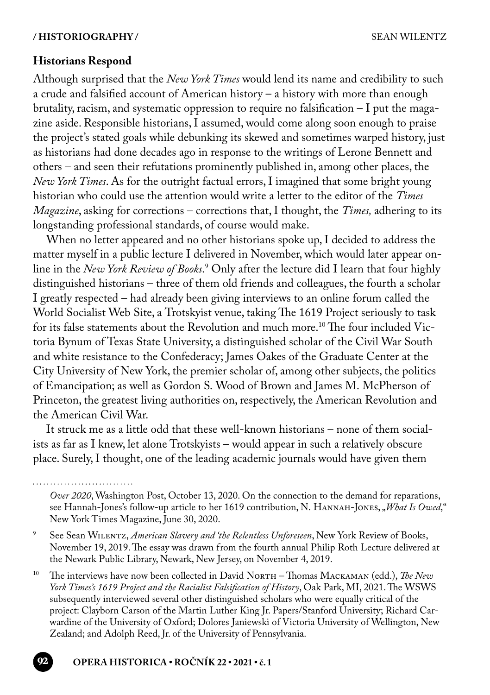## **Historians Respond**

Although surprised that the *New York Times* would lend its name and credibility to such a crude and falsified account of American history – a history with more than enough brutality, racism, and systematic oppression to require no falsification – I put the magazine aside. Responsible historians, I assumed, would come along soon enough to praise the project's stated goals while debunking its skewed and sometimes warped history, just as historians had done decades ago in response to the writings of Lerone Bennett and others – and seen their refutations prominently published in, among other places, the *New York Times*. As for the outright factual errors, I imagined that some bright young historian who could use the attention would write a letter to the editor of the *Times Magazine*, asking for corrections – corrections that, I thought, the *Times,* adhering to its longstanding professional standards, of course would make.

When no letter appeared and no other historians spoke up, I decided to address the matter myself in a public lecture I delivered in November, which would later appear online in the *New York Review of Books*.' Only after the lecture did I learn that four highly distinguished historians – three of them old friends and colleagues, the fourth a scholar I greatly respected – had already been giving interviews to an online forum called the World Socialist Web Site, a Trotskyist venue, taking The 1619 Project seriously to task for its false statements about the Revolution and much more.10 The four included Victoria Bynum of Texas State University, a distinguished scholar of the Civil War South and white resistance to the Confederacy; James Oakes of the Graduate Center at the City University of New York, the premier scholar of, among other subjects, the politics of Emancipation; as well as Gordon S. Wood of Brown and James M. McPherson of Princeton, the greatest living authorities on, respectively, the American Revolution and the American Civil War.

It struck me as a little odd that these well-known historians – none of them socialists as far as I knew, let alone Trotskyists – would appear in such a relatively obscure place. Surely, I thought, one of the leading academic journals would have given them

*Over 2020*, Washington Post, October 13, 2020. On the connection to the demand for reparations, see Hannah-Jones's follow-up article to her 1619 contribution, N. Hannah-Jones, "*What Is Owed*," New York Times Magazine, June 30, 2020.

<sup>9</sup> See Sean Wilentz, *American Slavery and 'the Relentless Unforeseen*, New York Review of Books, November 19, 2019. The essay was drawn from the fourth annual Philip Roth Lecture delivered at the Newark Public Library, Newark, New Jersey, on November 4, 2019.

<sup>10</sup> The interviews have now been collected in David NorTH – Thomas MACKAMAN (edd.), *The New York Times's 1619 Project and the Racialist Falsification of History*, Oak Park, MI, 2021. The WSWS subsequently interviewed several other distinguished scholars who were equally critical of the project: Clayborn Carson of the Martin Luther King Jr. Papers/Stanford University; Richard Carwardine of the University of Oxford; Dolores Janiewski of Victoria University of Wellington, New Zealand; and Adolph Reed, Jr. of the University of Pennsylvania.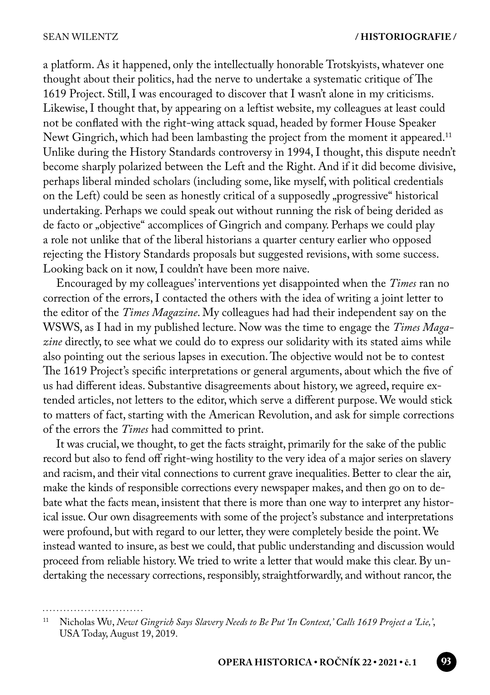a platform. As it happened, only the intellectually honorable Trotskyists, whatever one thought about their politics, had the nerve to undertake a systematic critique of The 1619 Project. Still, I was encouraged to discover that I wasn't alone in my criticisms. Likewise, I thought that, by appearing on a leftist website, my colleagues at least could not be conflated with the right-wing attack squad, headed by former House Speaker Newt Gingrich, which had been lambasting the project from the moment it appeared.<sup>11</sup> Unlike during the History Standards controversy in 1994, I thought, this dispute needn't become sharply polarized between the Left and the Right. And if it did become divisive, perhaps liberal minded scholars (including some, like myself, with political credentials on the Left) could be seen as honestly critical of a supposedly "progressive" historical undertaking. Perhaps we could speak out without running the risk of being derided as de facto or "objective" accomplices of Gingrich and company. Perhaps we could play a role not unlike that of the liberal historians a quarter century earlier who opposed rejecting the History Standards proposals but suggested revisions, with some success. Looking back on it now, I couldn't have been more naive.

Encouraged by my colleagues' interventions yet disappointed when the *Times* ran no correction of the errors, I contacted the others with the idea of writing a joint letter to the editor of the *Times Magazine*. My colleagues had had their independent say on the WSWS, as I had in my published lecture. Now was the time to engage the *Times Magazine* directly, to see what we could do to express our solidarity with its stated aims while also pointing out the serious lapses in execution. The objective would not be to contest The 1619 Project's specific interpretations or general arguments, about which the five of us had different ideas. Substantive disagreements about history, we agreed, require extended articles, not letters to the editor, which serve a different purpose. We would stick to matters of fact, starting with the American Revolution, and ask for simple corrections of the errors the *Times* had committed to print.

It was crucial, we thought, to get the facts straight, primarily for the sake of the public record but also to fend off right-wing hostility to the very idea of a major series on slavery and racism, and their vital connections to current grave inequalities. Better to clear the air, make the kinds of responsible corrections every newspaper makes, and then go on to debate what the facts mean, insistent that there is more than one way to interpret any historical issue. Our own disagreements with some of the project's substance and interpretations were profound, but with regard to our letter, they were completely beside the point. We instead wanted to insure, as best we could, that public understanding and discussion would proceed from reliable history. We tried to write a letter that would make this clear. By undertaking the necessary corrections, responsibly, straightforwardly, and without rancor, the

<sup>11</sup> Nicholas Wu, *Newt Gingrich Says Slavery Needs to Be Put 'In Context,' Calls 1619 Project a 'Lie,'*, USA Today, August 19, 2019.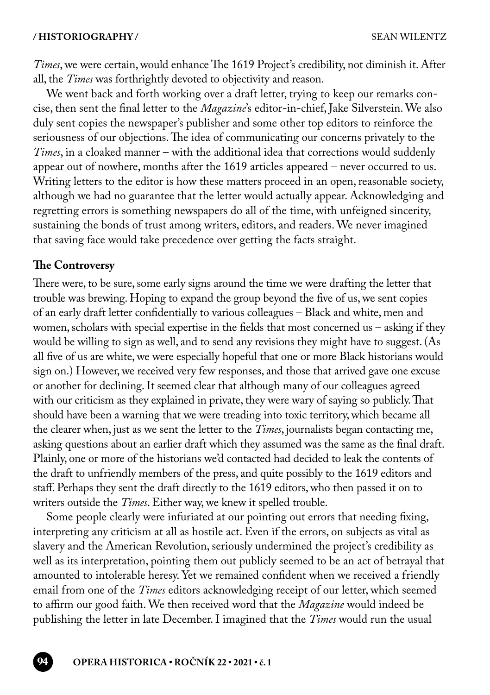*Times*, we were certain, would enhance The 1619 Project's credibility, not diminish it. After all, the *Times* was forthrightly devoted to objectivity and reason.

We went back and forth working over a draft letter, trying to keep our remarks concise, then sent the final letter to the *Magazine*'s editor-in-chief, Jake Silverstein. We also duly sent copies the newspaper's publisher and some other top editors to reinforce the seriousness of our objections. The idea of communicating our concerns privately to the *Times*, in a cloaked manner – with the additional idea that corrections would suddenly appear out of nowhere, months after the 1619 articles appeared – never occurred to us. Writing letters to the editor is how these matters proceed in an open, reasonable society, although we had no guarantee that the letter would actually appear. Acknowledging and regretting errors is something newspapers do all of the time, with unfeigned sincerity, sustaining the bonds of trust among writers, editors, and readers. We never imagined that saving face would take precedence over getting the facts straight.

#### **The Controversy**

There were, to be sure, some early signs around the time we were drafting the letter that trouble was brewing. Hoping to expand the group beyond the five of us, we sent copies of an early draft letter confidentially to various colleagues – Black and white, men and women, scholars with special expertise in the fields that most concerned us – asking if they would be willing to sign as well, and to send any revisions they might have to suggest. (As all five of us are white, we were especially hopeful that one or more Black historians would sign on.) However, we received very few responses, and those that arrived gave one excuse or another for declining. It seemed clear that although many of our colleagues agreed with our criticism as they explained in private, they were wary of saying so publicly. That should have been a warning that we were treading into toxic territory, which became all the clearer when, just as we sent the letter to the *Times*, journalists began contacting me, asking questions about an earlier draft which they assumed was the same as the final draft. Plainly, one or more of the historians we'd contacted had decided to leak the contents of the draft to unfriendly members of the press, and quite possibly to the 1619 editors and staff. Perhaps they sent the draft directly to the 1619 editors, who then passed it on to writers outside the *Times*. Either way, we knew it spelled trouble.

Some people clearly were infuriated at our pointing out errors that needing fixing, interpreting any criticism at all as hostile act. Even if the errors, on subjects as vital as slavery and the American Revolution, seriously undermined the project's credibility as well as its interpretation, pointing them out publicly seemed to be an act of betrayal that amounted to intolerable heresy. Yet we remained confident when we received a friendly email from one of the *Times* editors acknowledging receipt of our letter, which seemed to affirm our good faith. We then received word that the *Magazine* would indeed be publishing the letter in late December. I imagined that the *Times* would run the usual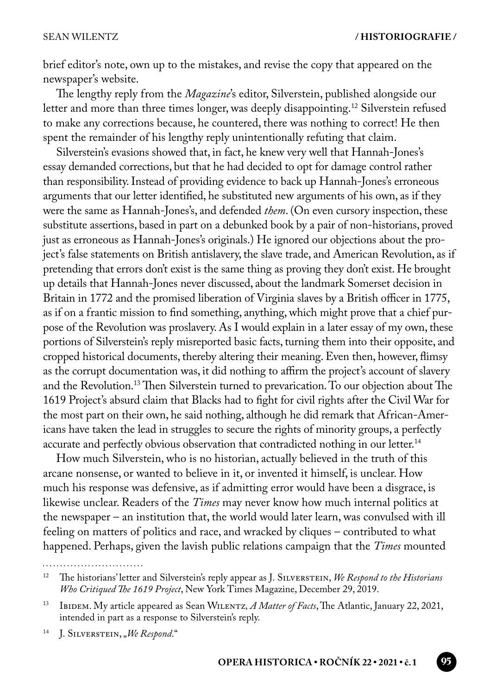brief editor's note, own up to the mistakes, and revise the copy that appeared on the newspaper's website.

The lengthy reply from the *Magazine*'s editor, Silverstein, published alongside our letter and more than three times longer, was deeply disappointing.12 Silverstein refused to make any corrections because, he countered, there was nothing to correct! He then spent the remainder of his lengthy reply unintentionally refuting that claim.

Silverstein's evasions showed that, in fact, he knew very well that Hannah-Jones's essay demanded corrections, but that he had decided to opt for damage control rather than responsibility. Instead of providing evidence to back up Hannah-Jones's erroneous arguments that our letter identified, he substituted new arguments of his own, as if they were the same as Hannah-Jones's, and defended *them*. (On even cursory inspection, these substitute assertions, based in part on a debunked book by a pair of non-historians, proved just as erroneous as Hannah-Jones's originals.) He ignored our objections about the project's false statements on British antislavery, the slave trade, and American Revolution, as if pretending that errors don't exist is the same thing as proving they don't exist. He brought up details that Hannah-Jones never discussed, about the landmark Somerset decision in Britain in 1772 and the promised liberation of Virginia slaves by a British officer in 1775, as if on a frantic mission to find something, anything, which might prove that a chief purpose of the Revolution was proslavery. As I would explain in a later essay of my own, these portions of Silverstein's reply misreported basic facts, turning them into their opposite, and cropped historical documents, thereby altering their meaning. Even then, however, flimsy as the corrupt documentation was, it did nothing to affirm the project's account of slavery and the Revolution.13 Then Silverstein turned to prevarication. To our objection about The 1619 Project's absurd claim that Blacks had to fight for civil rights after the Civil War for the most part on their own, he said nothing, although he did remark that African-Americans have taken the lead in struggles to secure the rights of minority groups, a perfectly accurate and perfectly obvious observation that contradicted nothing in our letter.<sup>14</sup>

How much Silverstein, who is no historian, actually believed in the truth of this arcane nonsense, or wanted to believe in it, or invented it himself, is unclear. How much his response was defensive, as if admitting error would have been a disgrace, is likewise unclear. Readers of the *Times* may never know how much internal politics at the newspaper – an institution that, the world would later learn, was convulsed with ill feeling on matters of politics and race, and wracked by cliques – contributed to what happened. Perhaps, given the lavish public relations campaign that the *Times* mounted

<sup>14</sup> J. Silverstein, "*We Respond*."

<sup>12</sup> The historians' letter and Silverstein's reply appear as J. Silverstein, *We Respond to the Historians Who Critiqued The 1619 Project*, New York Times Magazine, December 29, 2019.

<sup>13</sup> Ibidem. My article appeared as Sean Wilentz*, A Matter of Facts*, The Atlantic, January 22, 2021, intended in part as a response to Silverstein's reply.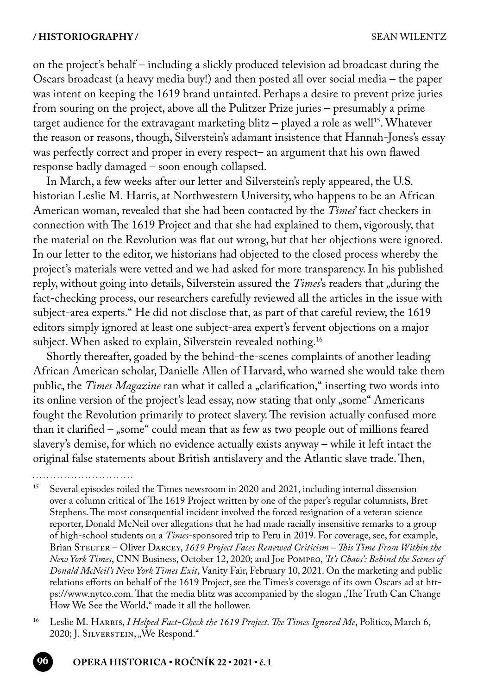$\cdots$ 

on the project's behalf – including a slickly produced television ad broadcast during the Oscars broadcast (a heavy media buy!) and then posted all over social media – the paper was intent on keeping the 1619 brand untainted. Perhaps a desire to prevent prize juries from souring on the project, above all the Pulitzer Prize juries – presumably a prime target audience for the extravagant marketing blitz – played a role as well<sup>15</sup>. Whatever the reason or reasons, though, Silverstein's adamant insistence that Hannah-Jones's essay was perfectly correct and proper in every respect– an argument that his own flawed response badly damaged – soon enough collapsed.

In March, a few weeks after our letter and Silverstein's reply appeared, the U.S. historian Leslie M. Harris, at Northwestern University, who happens to be an African American woman, revealed that she had been contacted by the *Times*' fact checkers in connection with The 1619 Project and that she had explained to them, vigorously, that the material on the Revolution was flat out wrong, but that her objections were ignored. In our letter to the editor, we historians had objected to the closed process whereby the project's materials were vetted and we had asked for more transparency. In his published reply, without going into details, Silverstein assured the *Times's* readers that "during the fact-checking process, our researchers carefully reviewed all the articles in the issue with subject-area experts." He did not disclose that, as part of that careful review, the 1619 editors simply ignored at least one subject-area expert's fervent objections on a major subject. When asked to explain, Silverstein revealed nothing.<sup>16</sup>

Shortly thereafter, goaded by the behind-the-scenes complaints of another leading African American scholar, Danielle Allen of Harvard, who warned she would take them public, the *Times Magazine* ran what it called a "clarification," inserting two words into its online version of the project's lead essay, now stating that only "some" Americans fought the Revolution primarily to protect slavery. The revision actually confused more than it clarified – "some" could mean that as few as two people out of millions feared slavery's demise, for which no evidence actually exists anyway – while it left intact the original false statements about British antislavery and the Atlantic slave trade. Then,

<sup>&</sup>lt;sup>15</sup> Several episodes roiled the Times newsroom in 2020 and 2021, including internal dissension over a column critical of The 1619 Project written by one of the paper's regular columnists, Bret Stephens. The most consequential incident involved the forced resignation of a veteran science reporter, Donald McNeil over allegations that he had made racially insensitive remarks to a group of high-school students on a *Times*-sponsored trip to Peru in 2019. For coverage, see, for example, Brian Stelter – Oliver Darcey, *1619 Project Faces Renewed Criticism – This Time From Within the New York Times*, CNN Business, October 12, 2020; and Joe Pompeo, *'It's Chaos': Behind the Scenes of Donald McNeil's New York Times Exit*, Vanity Fair, February 10, 2021. On the marketing and public relations efforts on behalf of the 1619 Project, see the Times's coverage of its own Oscars ad at https://www.nytco.com. That the media blitz was accompanied by the slogan "The Truth Can Change How We See the World," made it all the hollower.

<sup>16</sup> Leslie M. Harris, *I Helped Fact-Check the 1619 Project. The Times Ignored Me*, Politico, March 6, 2020; J. Silverstein, "We Respond."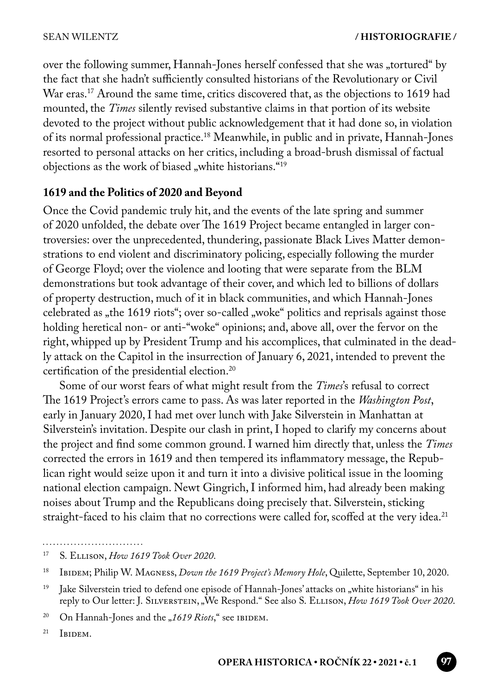over the following summer, Hannah-Jones herself confessed that she was "tortured" by the fact that she hadn't sufficiently consulted historians of the Revolutionary or Civil War eras.<sup>17</sup> Around the same time, critics discovered that, as the objections to 1619 had mounted, the *Times* silently revised substantive claims in that portion of its website devoted to the project without public acknowledgement that it had done so, in violation of its normal professional practice.18 Meanwhile, in public and in private, Hannah-Jones resorted to personal attacks on her critics, including a broad-brush dismissal of factual objections as the work of biased "white historians."<sup>19</sup>

## **1619 and the Politics of 2020 and Beyond**

Once the Covid pandemic truly hit, and the events of the late spring and summer of 2020 unfolded, the debate over The 1619 Project became entangled in larger controversies: over the unprecedented, thundering, passionate Black Lives Matter demonstrations to end violent and discriminatory policing, especially following the murder of George Floyd; over the violence and looting that were separate from the BLM demonstrations but took advantage of their cover, and which led to billions of dollars of property destruction, much of it in black communities, and which Hannah-Jones celebrated as "the 1619 riots"; over so-called "woke" politics and reprisals against those holding heretical non- or anti-"woke" opinions; and, above all, over the fervor on the right, whipped up by President Trump and his accomplices, that culminated in the deadly attack on the Capitol in the insurrection of January 6, 2021, intended to prevent the certification of the presidential election.20

 Some of our worst fears of what might result from the *Times*'s refusal to correct The 1619 Project's errors came to pass. As was later reported in the *Washington Post*, early in January 2020, I had met over lunch with Jake Silverstein in Manhattan at Silverstein's invitation. Despite our clash in print, I hoped to clarify my concerns about the project and find some common ground. I warned him directly that, unless the *Times* corrected the errors in 1619 and then tempered its inflammatory message, the Republican right would seize upon it and turn it into a divisive political issue in the looming national election campaign. Newt Gingrich, I informed him, had already been making noises about Trump and the Republicans doing precisely that. Silverstein, sticking straight-faced to his claim that no corrections were called for, scoffed at the very idea.<sup>21</sup>

 $21$  IBIDEM.

<sup>. . . . . . . . . . . . . . . . . . . .</sup> 

<sup>17</sup> S. Ellison, *How 1619 Took Over 2020*.

<sup>18</sup> Ibidem; Philip W. Magness, *Down the 1619 Project's Memory Hole*, Quilette, September 10, 2020.

<sup>&</sup>lt;sup>19</sup> Jake Silverstein tried to defend one episode of Hannah-Jones' attacks on "white historians" in his reply to Our letter: J. Silverstein, "We Respond." See also S. Ellison, *How 1619 Took Over 2020*.

<sup>&</sup>lt;sup>20</sup> On Hannah-Jones and the "1619 Riots," see IBIDEM.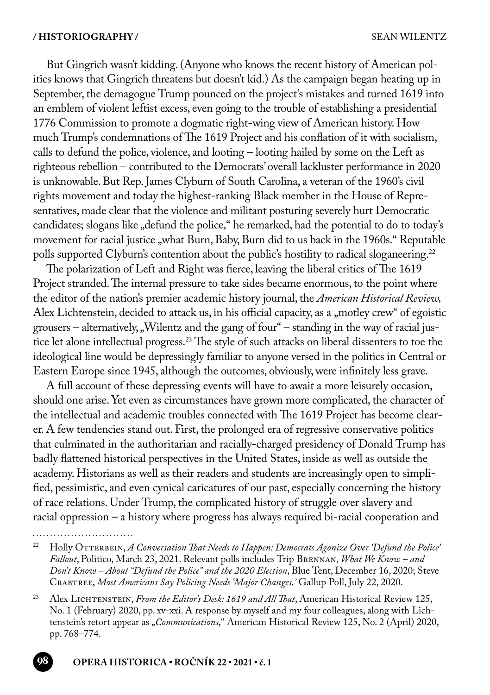But Gingrich wasn't kidding. (Anyone who knows the recent history of American politics knows that Gingrich threatens but doesn't kid.) As the campaign began heating up in September, the demagogue Trump pounced on the project's mistakes and turned 1619 into an emblem of violent leftist excess, even going to the trouble of establishing a presidential 1776 Commission to promote a dogmatic right-wing view of American history. How much Trump's condemnations of The 1619 Project and his conflation of it with socialism, calls to defund the police, violence, and looting – looting hailed by some on the Left as righteous rebellion – contributed to the Democrats' overall lackluster performance in 2020 is unknowable. But Rep. James Clyburn of South Carolina, a veteran of the 1960's civil rights movement and today the highest-ranking Black member in the House of Representatives, made clear that the violence and militant posturing severely hurt Democratic candidates; slogans like "defund the police," he remarked, had the potential to do to today's movement for racial justice "what Burn, Baby, Burn did to us back in the 1960s." Reputable polls supported Clyburn's contention about the public's hostility to radical sloganeering.<sup>22</sup>

The polarization of Left and Right was fierce, leaving the liberal critics of The 1619 Project stranded. The internal pressure to take sides became enormous, to the point where the editor of the nation's premier academic history journal, the *American Historical Review,* Alex Lichtenstein, decided to attack us, in his official capacity, as a "motley crew" of egoistic grousers – alternatively, "Wilentz and the gang of four" – standing in the way of racial justice let alone intellectual progress.23 The style of such attacks on liberal dissenters to toe the ideological line would be depressingly familiar to anyone versed in the politics in Central or Eastern Europe since 1945, although the outcomes, obviously, were infinitely less grave.

A full account of these depressing events will have to await a more leisurely occasion, should one arise. Yet even as circumstances have grown more complicated, the character of the intellectual and academic troubles connected with The 1619 Project has become clearer. A few tendencies stand out. First, the prolonged era of regressive conservative politics that culminated in the authoritarian and racially-charged presidency of Donald Trump has badly flattened historical perspectives in the United States, inside as well as outside the academy. Historians as well as their readers and students are increasingly open to simplified, pessimistic, and even cynical caricatures of our past, especially concerning the history of race relations. Under Trump, the complicated history of struggle over slavery and racial oppression – a history where progress has always required bi-racial cooperation and

<sup>&</sup>lt;sup>22</sup> Holly OTTERBEIN, *A Conversation That Needs to Happen: Democrats Agonize Over 'Defund the Police' Fallout*, Politico, March 23, 2021. Relevant polls includes Trip Brennan, *What We Know – and Don't Know – About "Defund the Police" and the 2020 Election*, Blue Tent, December 16, 2020; Steve Crabtree, *Most Americans Say Policing Needs 'Major Changes,'* Gallup Poll, July 22, 2020.

<sup>&</sup>lt;sup>23</sup> Alex LICHTENSTEIN, *From the Editor's Desk: 1619 and All That*, American Historical Review 125, No. 1 (February) 2020, pp. xv-xxi. A response by myself and my four colleagues, along with Lichtenstein's retort appear as "*Communications*," American Historical Review 125, No. 2 (April) 2020, pp. 768–774.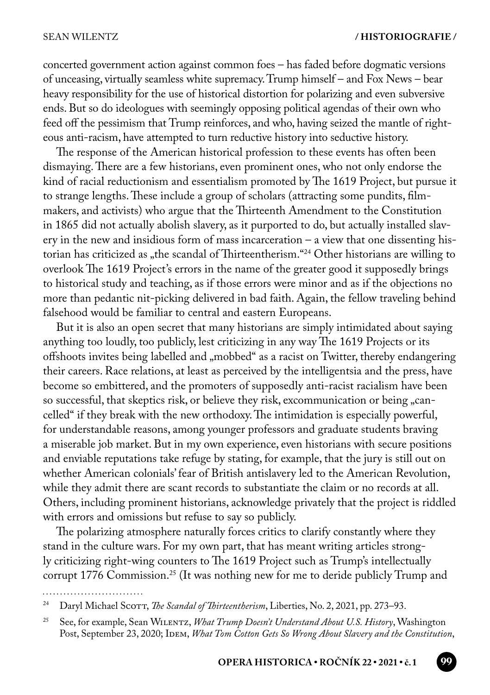concerted government action against common foes – has faded before dogmatic versions of unceasing, virtually seamless white supremacy. Trump himself – and Fox News – bear heavy responsibility for the use of historical distortion for polarizing and even subversive ends. But so do ideologues with seemingly opposing political agendas of their own who feed off the pessimism that Trump reinforces, and who, having seized the mantle of righteous anti-racism, have attempted to turn reductive history into seductive history.

The response of the American historical profession to these events has often been dismaying. There are a few historians, even prominent ones, who not only endorse the kind of racial reductionism and essentialism promoted by The 1619 Project, but pursue it to strange lengths. These include a group of scholars (attracting some pundits, filmmakers, and activists) who argue that the Thirteenth Amendment to the Constitution in 1865 did not actually abolish slavery, as it purported to do, but actually installed slavery in the new and insidious form of mass incarceration – a view that one dissenting historian has criticized as "the scandal of Thirteentherism."<sup>24</sup> Other historians are willing to overlook The 1619 Project's errors in the name of the greater good it supposedly brings to historical study and teaching, as if those errors were minor and as if the objections no more than pedantic nit-picking delivered in bad faith. Again, the fellow traveling behind falsehood would be familiar to central and eastern Europeans.

But it is also an open secret that many historians are simply intimidated about saying anything too loudly, too publicly, lest criticizing in any way The 1619 Projects or its offshoots invites being labelled and "mobbed" as a racist on Twitter, thereby endangering their careers. Race relations, at least as perceived by the intelligentsia and the press, have become so embittered, and the promoters of supposedly anti-racist racialism have been so successful, that skeptics risk, or believe they risk, excommunication or being "cancelled" if they break with the new orthodoxy. The intimidation is especially powerful, for understandable reasons, among younger professors and graduate students braving a miserable job market. But in my own experience, even historians with secure positions and enviable reputations take refuge by stating, for example, that the jury is still out on whether American colonials' fear of British antislavery led to the American Revolution, while they admit there are scant records to substantiate the claim or no records at all. Others, including prominent historians, acknowledge privately that the project is riddled with errors and omissions but refuse to say so publicly.

The polarizing atmosphere naturally forces critics to clarify constantly where they stand in the culture wars. For my own part, that has meant writing articles strongly criticizing right-wing counters to The 1619 Project such as Trump's intellectually corrupt 1776 Commission.<sup>25</sup> (It was nothing new for me to deride publicly Trump and

<sup>24</sup> Daryl Michael Scott, *The Scandal of Thirteentherism*, Liberties, No. 2, 2021, pp. 273–93.

<sup>25</sup> See, for example, Sean Wilentz, *What Trump Doesn't Understand About U.S. History*, Washington Post, September 23, 2020; IDEM, What Tom Cotton Gets So Wrong About Slavery and the Constitution,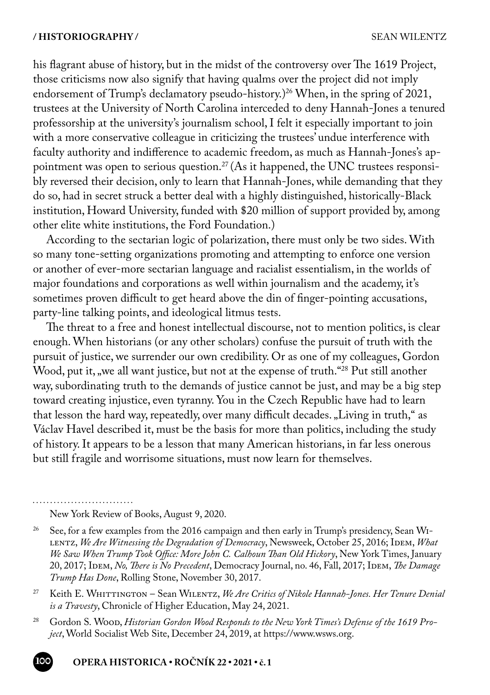his flagrant abuse of history, but in the midst of the controversy over The 1619 Project, those criticisms now also signify that having qualms over the project did not imply endorsement of Trump's declamatory pseudo-history.)<sup>26</sup> When, in the spring of 2021, trustees at the University of North Carolina interceded to deny Hannah-Jones a tenured professorship at the university's journalism school, I felt it especially important to join with a more conservative colleague in criticizing the trustees' undue interference with faculty authority and indifference to academic freedom, as much as Hannah-Jones's appointment was open to serious question.<sup>27</sup> (As it happened, the UNC trustees responsibly reversed their decision, only to learn that Hannah-Jones, while demanding that they do so, had in secret struck a better deal with a highly distinguished, historically-Black institution, Howard University, funded with \$20 million of support provided by, among other elite white institutions, the Ford Foundation.)

According to the sectarian logic of polarization, there must only be two sides. With so many tone-setting organizations promoting and attempting to enforce one version or another of ever-more sectarian language and racialist essentialism, in the worlds of major foundations and corporations as well within journalism and the academy, it's sometimes proven difficult to get heard above the din of finger-pointing accusations, party-line talking points, and ideological litmus tests.

The threat to a free and honest intellectual discourse, not to mention politics, is clear enough. When historians (or any other scholars) confuse the pursuit of truth with the pursuit of justice, we surrender our own credibility. Or as one of my colleagues, Gordon Wood, put it, we all want justice, but not at the expense of truth.<sup>"28</sup> Put still another way, subordinating truth to the demands of justice cannot be just, and may be a big step toward creating injustice, even tyranny. You in the Czech Republic have had to learn that lesson the hard way, repeatedly, over many difficult decades. "Living in truth," as Václav Havel described it, must be the basis for more than politics, including the study of history. It appears to be a lesson that many American historians, in far less onerous but still fragile and worrisome situations, must now learn for themselves.

New York Review of Books, August 9, 2020.

- <sup>27</sup> Keith E. WHITTINGTON Sean WILENTZ, *We Are Critics of Nikole Hannah-Jones. Her Tenure Denial is a Travesty*, Chronicle of Higher Education, May 24, 2021.
- <sup>28</sup> Gordon S. Woop, *Historian Gordon Wood Responds to the New York Times's Defense of the 1619 Project*, World Socialist Web Site, December 24, 2019, at https://www.wsws.org.

<sup>&</sup>lt;sup>26</sup> See, for a few examples from the 2016 campaign and then early in Trump's presidency, Sean WI-LENTZ, We Are Witnessing the Degradation of Democracy, Newsweek, October 25, 2016; IDEM, What *We Saw When Trump Took Office: More John C. Calhoun Than Old Hickory*, New York Times, January 20, 2017; IDEM, *No, There is No Precedent*, Democracy Journal, no. 46, Fall, 2017; IDEM, *The Damage Trump Has Done*, Rolling Stone, November 30, 2017.